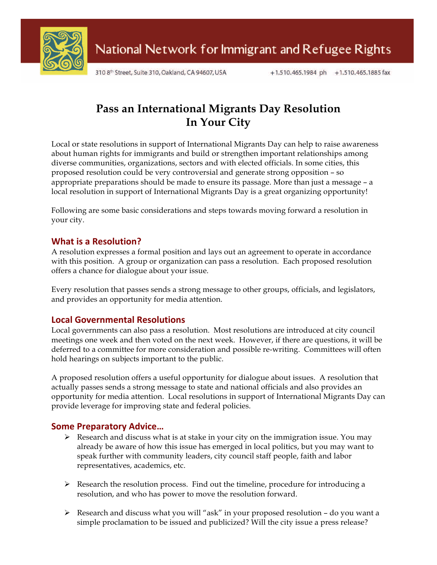

310 8th Street, Suite 310, Oakland, CA 94607, USA

# **Pass an International Migrants Day Resolution In Your City**

Local or state resolutions in support of International Migrants Day can help to raise awareness about human rights for immigrants and build or strengthen important relationships among diverse communities, organizations, sectors and with elected officials. In some cities, this proposed resolution could be very controversial and generate strong opposition – so appropriate preparations should be made to ensure its passage. More than just a message – a local resolution in support of International Migrants Day is a great organizing opportunity!

Following are some basic considerations and steps towards moving forward a resolution in your city.

### **What is a Resolution?**

A resolution expresses a formal position and lays out an agreement to operate in accordance with this position. A group or organization can pass a resolution. Each proposed resolution offers a chance for dialogue about your issue.

Every resolution that passes sends a strong message to other groups, officials, and legislators, and provides an opportunity for media attention.

### **Local%Governmental%Resolutions**

Local governments can also pass a resolution. Most resolutions are introduced at city council meetings one week and then voted on the next week. However, if there are questions, it will be deferred to a committee for more consideration and possible re-writing. Committees will often hold hearings on subjects important to the public.

A proposed resolution offers a useful opportunity for dialogue about issues. A resolution that actually passes sends a strong message to state and national officials and also provides an opportunity for media attention. Local resolutions in support of International Migrants Day can provide leverage for improving state and federal policies.

### **Some Preparatory Advice...**

- $\triangleright$  Research and discuss what is at stake in your city on the immigration issue. You may already be aware of how this issue has emerged in local politics, but you may want to speak further with community leaders, city council staff people, faith and labor representatives, academics, etc.
- $\triangleright$  Research the resolution process. Find out the timeline, procedure for introducing a resolution, and who has power to move the resolution forward.
- $\triangleright$  Research and discuss what you will "ask" in your proposed resolution do you want a simple proclamation to be issued and publicized? Will the city issue a press release?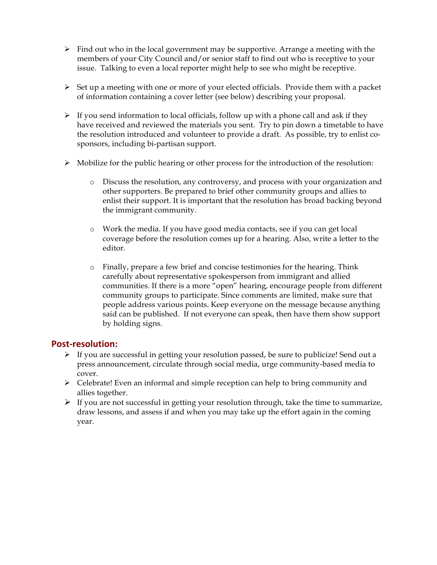- $\triangleright$  Find out who in the local government may be supportive. Arrange a meeting with the members of your City Council and/or senior staff to find out who is receptive to your issue. Talking to even a local reporter might help to see who might be receptive.
- $\triangleright$  Set up a meeting with one or more of your elected officials. Provide them with a packet of information containing a cover letter (see below) describing your proposal.
- $\triangleright$  If you send information to local officials, follow up with a phone call and ask if they have received and reviewed the materials you sent. Try to pin down a timetable to have the resolution introduced and volunteer to provide a draft. As possible, try to enlist cosponsors, including bi-partisan support.
- $\triangleright$  Mobilize for the public hearing or other process for the introduction of the resolution:
	- o Discuss the resolution, any controversy, and process with your organization and other supporters. Be prepared to brief other community groups and allies to enlist their support. It is important that the resolution has broad backing beyond the immigrant community.
	- o Work the media. If you have good media contacts, see if you can get local coverage before the resolution comes up for a hearing. Also, write a letter to the editor.
	- o Finally, prepare a few brief and concise testimonies for the hearing. Think carefully about representative spokesperson from immigrant and allied communities. If there is a more "open" hearing, encourage people from different community groups to participate. Since comments are limited, make sure that people address various points. Keep everyone on the message because anything said can be published. If not everyone can speak, then have them show support by holding signs.

### **Post-resolution:**

- If you are successful in getting your resolution passed, be sure to publicize! Send out a press announcement, circulate through social media, urge community-based media to cover.
- $\triangleright$  Celebrate! Even an informal and simple reception can help to bring community and allies together.
- $\triangleright$  If you are not successful in getting your resolution through, take the time to summarize, draw lessons, and assess if and when you may take up the effort again in the coming year.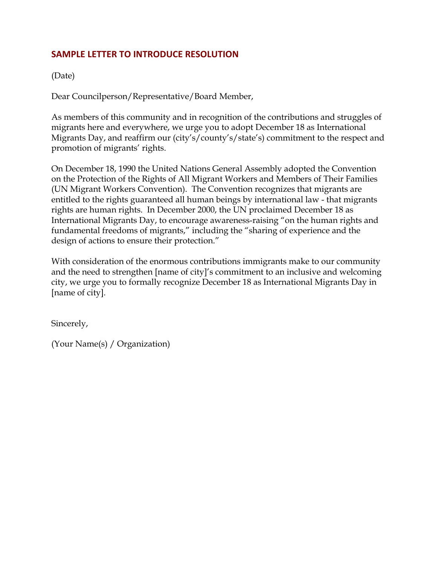## **SAMPLE LETTER TO INTRODUCE RESOLUTION**

### (Date)

Dear Councilperson/Representative/Board Member,

As members of this community and in recognition of the contributions and struggles of migrants here and everywhere, we urge you to adopt December 18 as International Migrants Day, and reaffirm our (city's/county's/state's) commitment to the respect and promotion of migrants' rights.

On December 18, 1990 the United Nations General Assembly adopted the Convention on the Protection of the Rights of All Migrant Workers and Members of Their Families (UN Migrant Workers Convention). The Convention recognizes that migrants are entitled to the rights guaranteed all human beings by international law - that migrants rights are human rights. In December 2000, the UN proclaimed December 18 as International Migrants Day, to encourage awareness-raising "on the human rights and fundamental freedoms of migrants," including the "sharing of experience and the design of actions to ensure their protection."

With consideration of the enormous contributions immigrants make to our community and the need to strengthen [name of city]'s commitment to an inclusive and welcoming city, we urge you to formally recognize December 18 as International Migrants Day in [name of city].

Sincerely,

(Your Name(s) / Organization)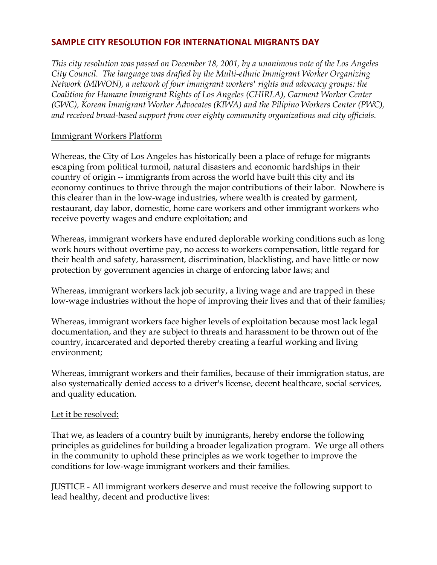### **SAMPLE CITY RESOLUTION FOR INTERNATIONAL MIGRANTS DAY**

*This city resolution was passed on December 18, 2001, by a unanimous vote of the Los Angeles City Council. The language was drafted by the Multi-ethnic Immigrant Worker Organizing Network (MIWON), a network of four immigrant workers' rights and advocacy groups: the Coalition for Humane Immigrant Rights of Los Angeles (CHIRLA), Garment Worker Center (GWC), Korean Immigrant Worker Advocates (KIWA) and the Pilipino Workers Center (PWC), and received broad-based support from over eighty community organizations and city officials.* 

### Immigrant Workers Platform

Whereas, the City of Los Angeles has historically been a place of refuge for migrants escaping from political turmoil, natural disasters and economic hardships in their country of origin -- immigrants from across the world have built this city and its economy continues to thrive through the major contributions of their labor. Nowhere is this clearer than in the low-wage industries, where wealth is created by garment, restaurant, day labor, domestic, home care workers and other immigrant workers who receive poverty wages and endure exploitation; and

Whereas, immigrant workers have endured deplorable working conditions such as long work hours without overtime pay, no access to workers compensation, little regard for their health and safety, harassment, discrimination, blacklisting, and have little or now protection by government agencies in charge of enforcing labor laws; and

Whereas, immigrant workers lack job security, a living wage and are trapped in these low-wage industries without the hope of improving their lives and that of their families;

Whereas, immigrant workers face higher levels of exploitation because most lack legal documentation, and they are subject to threats and harassment to be thrown out of the country, incarcerated and deported thereby creating a fearful working and living environment;

Whereas, immigrant workers and their families, because of their immigration status, are also systematically denied access to a driver's license, decent healthcare, social services, and quality education.

### Let it be resolved:

That we, as leaders of a country built by immigrants, hereby endorse the following principles as guidelines for building a broader legalization program. We urge all others in the community to uphold these principles as we work together to improve the conditions for low-wage immigrant workers and their families.

JUSTICE - All immigrant workers deserve and must receive the following support to lead healthy, decent and productive lives: